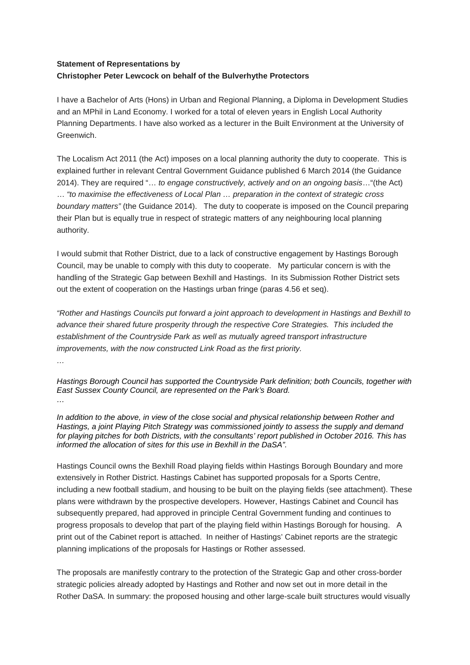## **Statement of Representations by Christopher Peter Lewcock on behalf of the Bulverhythe Protectors**

I have a Bachelor of Arts (Hons) in Urban and Regional Planning, a Diploma in Development Studies and an MPhil in Land Economy. I worked for a total of eleven years in English Local Authority Planning Departments. I have also worked as a lecturer in the Built Environment at the University of Greenwich.

The Localism Act 2011 (the Act) imposes on a local planning authority the duty to cooperate. This is explained further in relevant Central Government Guidance published 6 March 2014 (the Guidance 2014). They are required "… *to engage constructively, actively and on an ongoing basis*…"(the Act) … *"to maximise the effectiveness of Local Plan … preparation in the context of strategic cross boundary matters"* (the Guidance 2014). The duty to cooperate is imposed on the Council preparing their Plan but is equally true in respect of strategic matters of any neighbouring local planning authority.

I would submit that Rother District, due to a lack of constructive engagement by Hastings Borough Council, may be unable to comply with this duty to cooperate. My particular concern is with the handling of the Strategic Gap between Bexhill and Hastings. In its Submission Rother District sets out the extent of cooperation on the Hastings urban fringe (paras 4.56 et seq).

*"Rother and Hastings Councils put forward a joint approach to development in Hastings and Bexhill to advance their shared future prosperity through the respective Core Strategies. This included the establishment of the Countryside Park as well as mutually agreed transport infrastructure improvements, with the now constructed Link Road as the first priority.* 

*…* 

*Hastings Borough Council has supported the Countryside Park definition; both Councils, together with East Sussex County Council, are represented on the Park's Board. …*

*In addition to the above, in view of the close social and physical relationship between Rother and Hastings, a joint Playing Pitch Strategy was commissioned jointly to assess the supply and demand for playing pitches for both Districts, with the consultants' report published in October 2016. This has informed the allocation of sites for this use in Bexhill in the DaSA".*

Hastings Council owns the Bexhill Road playing fields within Hastings Borough Boundary and more extensively in Rother District. Hastings Cabinet has supported proposals for a Sports Centre, including a new football stadium, and housing to be built on the playing fields (see attachment). These plans were withdrawn by the prospective developers. However, Hastings Cabinet and Council has subsequently prepared, had approved in principle Central Government funding and continues to progress proposals to develop that part of the playing field within Hastings Borough for housing. A print out of the Cabinet report is attached. In neither of Hastings' Cabinet reports are the strategic planning implications of the proposals for Hastings or Rother assessed.

The proposals are manifestly contrary to the protection of the Strategic Gap and other cross-border strategic policies already adopted by Hastings and Rother and now set out in more detail in the Rother DaSA. In summary: the proposed housing and other large-scale built structures would visually